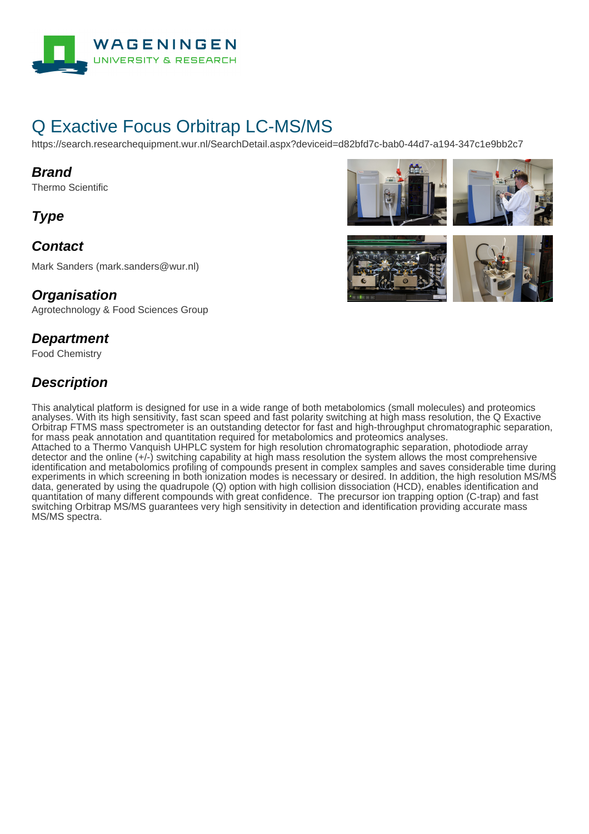

# Q Exactive Focus Orbitrap LC-MS/MS

https://search.researchequipment.wur.nl/SearchDetail.aspx?deviceid=d82bfd7c-bab0-44d7-a194-347c1e9bb2c7

#### **Brand**

Thermo Scientific

**Type**

# **Contact**

Mark Sanders (mark.sanders@wur.nl)

#### **Organisation**

Agrotechnology & Food Sciences Group

#### **Department**

Food Chemistry

# **Description**

This analytical platform is designed for use in a wide range of both metabolomics (small molecules) and proteomics analyses. With its high sensitivity, fast scan speed and fast polarity switching at high mass resolution, the Q Exactive Orbitrap FTMS mass spectrometer is an outstanding detector for fast and high-throughput chromatographic separation, for mass peak annotation and quantitation required for metabolomics and proteomics analyses. Attached to a Thermo Vanquish UHPLC system for high resolution chromatographic separation, photodiode array detector and the online (+/-) switching capability at high mass resolution the system allows the most comprehensive identification and metabolomics profiling of compounds present in complex samples and saves considerable time during experiments in which screening in both ionization modes is necessary or desired. In addition, the high resolution MS/MS data, generated by using the quadrupole (Q) option with high collision dissociation (HCD), enables identification and quantitation of many different compounds with great confidence. The precursor ion trapping option (C-trap) and fast switching Orbitrap MS/MS guarantees very high sensitivity in detection and identification providing accurate mass MS/MS spectra.